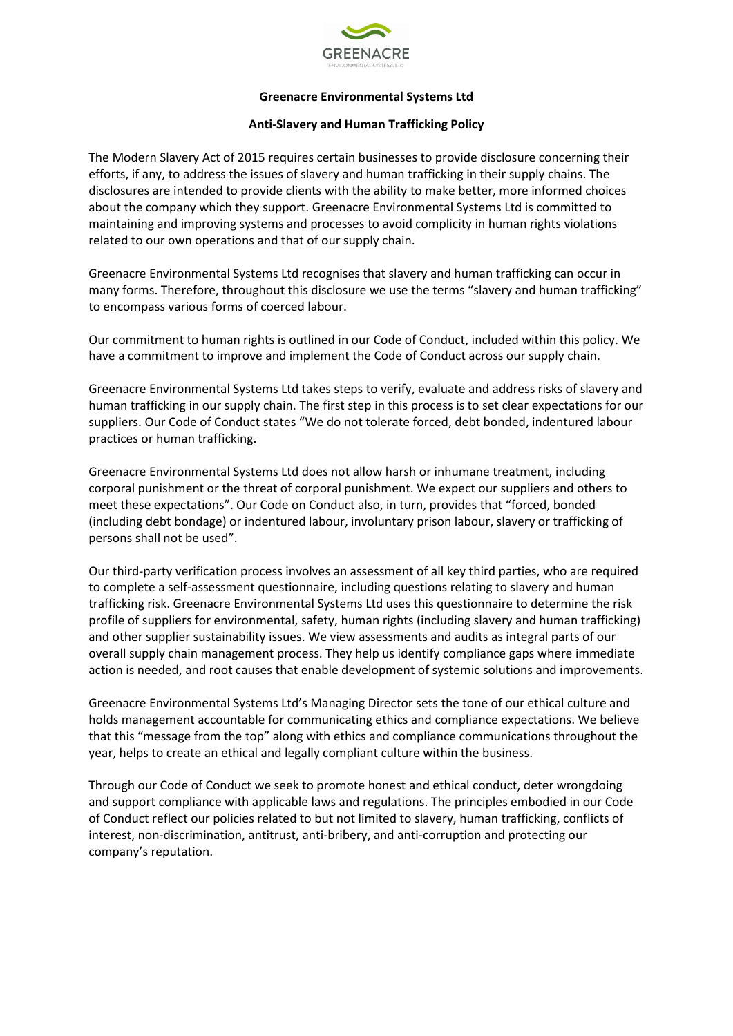

# **Greenacre Environmental Systems Ltd**

# **Anti-Slavery and Human Trafficking Policy**

The Modern Slavery Act of 2015 requires certain businesses to provide disclosure concerning their efforts, if any, to address the issues of slavery and human trafficking in their supply chains. The disclosures are intended to provide clients with the ability to make better, more informed choices about the company which they support. Greenacre Environmental Systems Ltd is committed to maintaining and improving systems and processes to avoid complicity in human rights violations related to our own operations and that of our supply chain.

Greenacre Environmental Systems Ltd recognises that slavery and human trafficking can occur in many forms. Therefore, throughout this disclosure we use the terms "slavery and human trafficking" to encompass various forms of coerced labour.

Our commitment to human rights is outlined in our Code of Conduct, included within this policy. We have a commitment to improve and implement the Code of Conduct across our supply chain.

Greenacre Environmental Systems Ltd takes steps to verify, evaluate and address risks of slavery and human trafficking in our supply chain. The first step in this process is to set clear expectations for our suppliers. Our Code of Conduct states "We do not tolerate forced, debt bonded, indentured labour practices or human trafficking.

Greenacre Environmental Systems Ltd does not allow harsh or inhumane treatment, including corporal punishment or the threat of corporal punishment. We expect our suppliers and others to meet these expectations". Our Code on Conduct also, in turn, provides that "forced, bonded (including debt bondage) or indentured labour, involuntary prison labour, slavery or trafficking of persons shall not be used".

Our third-party verification process involves an assessment of all key third parties, who are required to complete a self-assessment questionnaire, including questions relating to slavery and human trafficking risk. Greenacre Environmental Systems Ltd uses this questionnaire to determine the risk profile of suppliers for environmental, safety, human rights (including slavery and human trafficking) and other supplier sustainability issues. We view assessments and audits as integral parts of our overall supply chain management process. They help us identify compliance gaps where immediate action is needed, and root causes that enable development of systemic solutions and improvements.

Greenacre Environmental Systems Ltd's Managing Director sets the tone of our ethical culture and holds management accountable for communicating ethics and compliance expectations. We believe that this "message from the top" along with ethics and compliance communications throughout the year, helps to create an ethical and legally compliant culture within the business.

Through our Code of Conduct we seek to promote honest and ethical conduct, deter wrongdoing and support compliance with applicable laws and regulations. The principles embodied in our Code of Conduct reflect our policies related to but not limited to slavery, human trafficking, conflicts of interest, non-discrimination, antitrust, anti-bribery, and anti-corruption and protecting our company's reputation.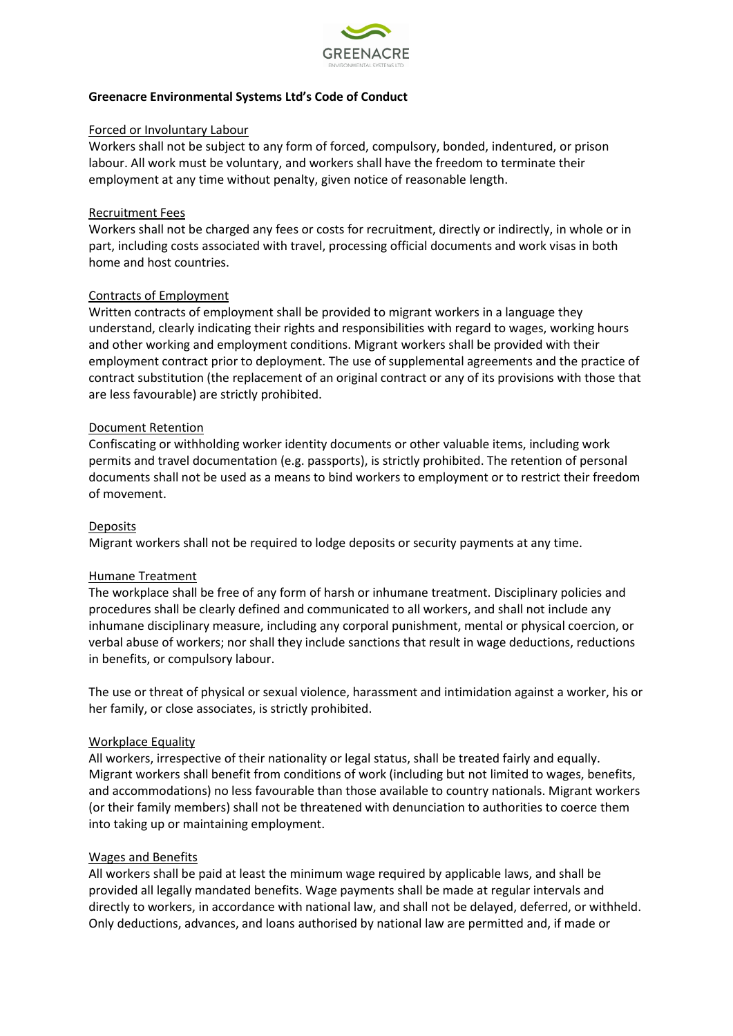

# **Greenacre Environmental Systems Ltd's Code of Conduct**

### Forced or Involuntary Labour

Workers shall not be subject to any form of forced, compulsory, bonded, indentured, or prison labour. All work must be voluntary, and workers shall have the freedom to terminate their employment at any time without penalty, given notice of reasonable length.

#### Recruitment Fees

Workers shall not be charged any fees or costs for recruitment, directly or indirectly, in whole or in part, including costs associated with travel, processing official documents and work visas in both home and host countries.

### Contracts of Employment

Written contracts of employment shall be provided to migrant workers in a language they understand, clearly indicating their rights and responsibilities with regard to wages, working hours and other working and employment conditions. Migrant workers shall be provided with their employment contract prior to deployment. The use of supplemental agreements and the practice of contract substitution (the replacement of an original contract or any of its provisions with those that are less favourable) are strictly prohibited.

#### Document Retention

Confiscating or withholding worker identity documents or other valuable items, including work permits and travel documentation (e.g. passports), is strictly prohibited. The retention of personal documents shall not be used as a means to bind workers to employment or to restrict their freedom of movement.

### **Deposits**

Migrant workers shall not be required to lodge deposits or security payments at any time.

### Humane Treatment

The workplace shall be free of any form of harsh or inhumane treatment. Disciplinary policies and procedures shall be clearly defined and communicated to all workers, and shall not include any inhumane disciplinary measure, including any corporal punishment, mental or physical coercion, or verbal abuse of workers; nor shall they include sanctions that result in wage deductions, reductions in benefits, or compulsory labour.

The use or threat of physical or sexual violence, harassment and intimidation against a worker, his or her family, or close associates, is strictly prohibited.

#### Workplace Equality

All workers, irrespective of their nationality or legal status, shall be treated fairly and equally. Migrant workers shall benefit from conditions of work (including but not limited to wages, benefits, and accommodations) no less favourable than those available to country nationals. Migrant workers (or their family members) shall not be threatened with denunciation to authorities to coerce them into taking up or maintaining employment.

#### Wages and Benefits

All workers shall be paid at least the minimum wage required by applicable laws, and shall be provided all legally mandated benefits. Wage payments shall be made at regular intervals and directly to workers, in accordance with national law, and shall not be delayed, deferred, or withheld. Only deductions, advances, and loans authorised by national law are permitted and, if made or